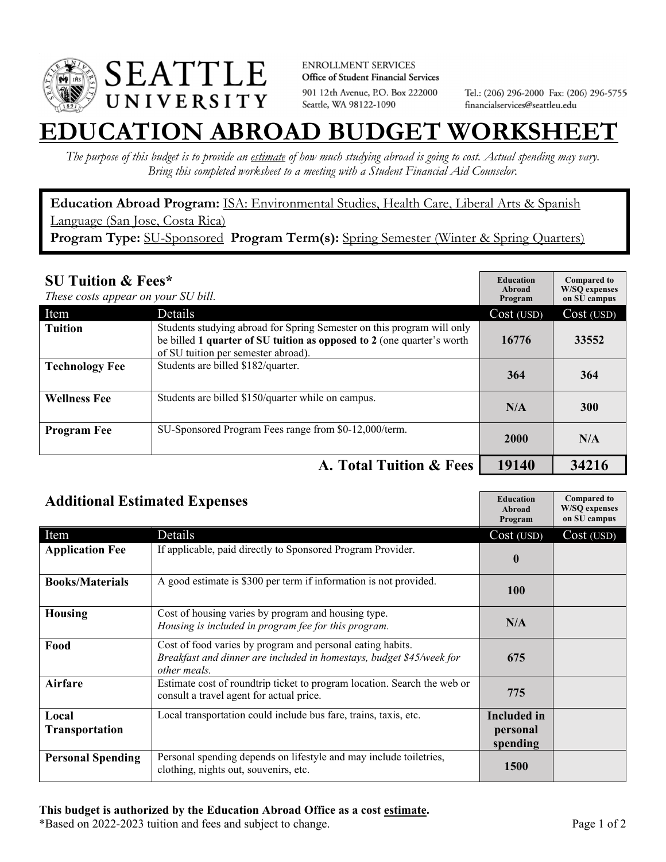

**ENROLLMENT SERVICES** Office of Student Financial Services 901 12th Avenue, P.O. Box 222000 Seattle, WA 98122-1090

Tel.: (206) 296-2000 Fax: (206) 296-5755 financialservices@seattleu.edu

## **TION ABROAD BUDGET WORKSHEI**

*The purpose of this budget is to provide an estimate of how much studying abroad is going to cost. Actual spending may vary. Bring this completed worksheet to a meeting with a Student Financial Aid Counselor.* 

**Education Abroad Program:** ISA: Environmental Studies, Health Care, Liberal Arts & Spanish Language (San Jose, Costa Rica) Program Type: SU-Sponsored Program Term(s): Spring Semester (Winter & Spring Quarters)

| <b>SU Tuition &amp; Fees*</b><br>These costs appear on your SU bill. |                                                                                                                                                                                         | <b>Education</b><br>Abroad<br>Program | <b>Compared to</b><br><b>W/SO</b> expenses<br>on SU campus |
|----------------------------------------------------------------------|-----------------------------------------------------------------------------------------------------------------------------------------------------------------------------------------|---------------------------------------|------------------------------------------------------------|
| Item                                                                 | Details                                                                                                                                                                                 | Cost (USD)                            | Cost (USD)                                                 |
| <b>Tuition</b>                                                       | Students studying abroad for Spring Semester on this program will only<br>be billed 1 quarter of SU tuition as opposed to 2 (one quarter's worth<br>of SU tuition per semester abroad). | 16776                                 | 33552                                                      |
| <b>Technology Fee</b>                                                | Students are billed \$182/quarter.                                                                                                                                                      | 364                                   | 364                                                        |
| <b>Wellness Fee</b>                                                  | Students are billed \$150/quarter while on campus.                                                                                                                                      | N/A                                   | <b>300</b>                                                 |
| <b>Program Fee</b>                                                   | SU-Sponsored Program Fees range from \$0-12,000/term.                                                                                                                                   | 2000                                  | N/A                                                        |
|                                                                      | A. Total Tuition & Fees                                                                                                                                                                 | 19140                                 | 34216                                                      |

| <b>Additional Estimated Expenses</b> |                                                                                                                                                    | <b>Education</b><br>Abroad<br>Program      | <b>Compared to</b><br><b>W/SQ</b> expenses<br>on SU campus |
|--------------------------------------|----------------------------------------------------------------------------------------------------------------------------------------------------|--------------------------------------------|------------------------------------------------------------|
| Item                                 | Details                                                                                                                                            | Cost (USD)                                 | Cost (USD)                                                 |
| <b>Application Fee</b>               | If applicable, paid directly to Sponsored Program Provider.                                                                                        | $\boldsymbol{0}$                           |                                                            |
| <b>Books/Materials</b>               | A good estimate is \$300 per term if information is not provided.                                                                                  | <b>100</b>                                 |                                                            |
| <b>Housing</b>                       | Cost of housing varies by program and housing type.<br>Housing is included in program fee for this program.                                        | N/A                                        |                                                            |
| Food                                 | Cost of food varies by program and personal eating habits.<br>Breakfast and dinner are included in homestays, budget \$45/week for<br>other meals. | 675                                        |                                                            |
| Airfare                              | Estimate cost of roundtrip ticket to program location. Search the web or<br>consult a travel agent for actual price.                               | 775                                        |                                                            |
| Local<br><b>Transportation</b>       | Local transportation could include bus fare, trains, taxis, etc.                                                                                   | <b>Included</b> in<br>personal<br>spending |                                                            |
| <b>Personal Spending</b>             | Personal spending depends on lifestyle and may include toiletries,<br>clothing, nights out, souvenirs, etc.                                        | <b>1500</b>                                |                                                            |

\*Based on 2022-2023 tuition and fees and subject to change. Page 1 of 2